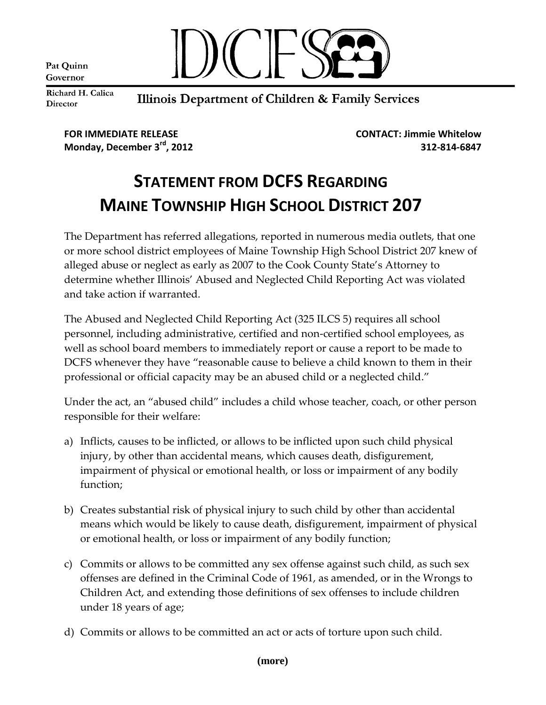Pat Quinn Governor



Richard H. Calica **Director** 

## Illinois Department of Children & Family Services

**FOR IMMEDIATE RELEASE CONTACT: Jimmie Whitelow**

**Monday, December 3rd, 2012 312-814-6847**

## **STATEMENT FROM DCFS REGARDING MAINE TOWNSHIP HIGH SCHOOL DISTRICT 207**

The Department has referred allegations, reported in numerous media outlets, that one or more school district employees of Maine Township High School District 207 knew of alleged abuse or neglect as early as 2007 to the Cook County State's Attorney to determine whether Illinois' Abused and Neglected Child Reporting Act was violated and take action if warranted.

The Abused and Neglected Child Reporting Act (325 ILCS 5) requires all school personnel, including administrative, certified and non-certified school employees, as well as school board members to immediately report or cause a report to be made to DCFS whenever they have "reasonable cause to believe a child known to them in their professional or official capacity may be an abused child or a neglected child."

Under the act, an "abused child" includes a child whose teacher, coach, or other person responsible for their welfare:

- a) Inflicts, causes to be inflicted, or allows to be inflicted upon such child physical injury, by other than accidental means, which causes death, disfigurement, impairment of physical or emotional health, or loss or impairment of any bodily function;
- b) Creates substantial risk of physical injury to such child by other than accidental means which would be likely to cause death, disfigurement, impairment of physical or emotional health, or loss or impairment of any bodily function;
- c) Commits or allows to be committed any sex offense against such child, as such sex offenses are defined in the Criminal Code of 1961, as amended, or in the Wrongs to Children Act, and extending those definitions of sex offenses to include children under 18 years of age;
- d) Commits or allows to be committed an act or acts of torture upon such child.